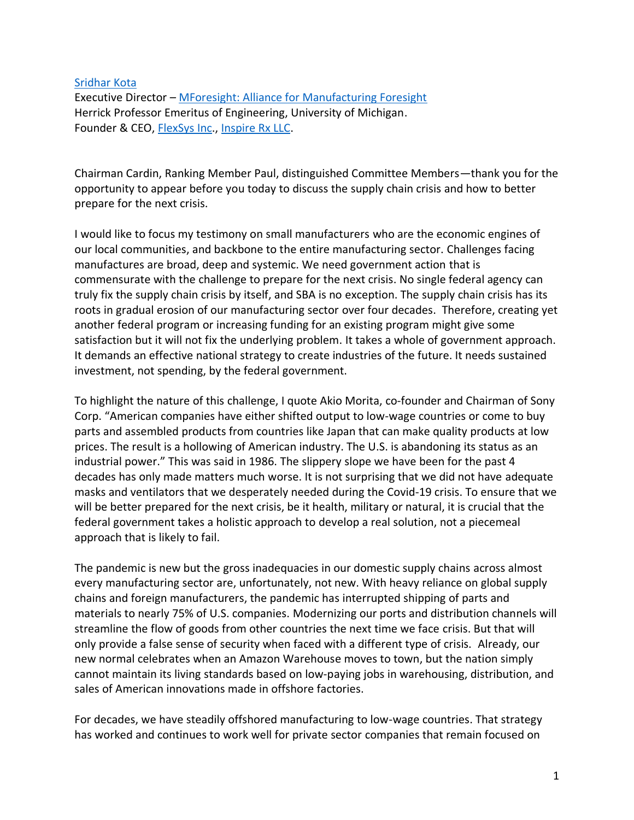## [Sridhar Kota](https://sridharkota.com/)

Executive Director – [MForesight: Alliance for Manufacturing Foresight](http://mforesight.org/) Herrick Professor Emeritus of Engineering, University of Michigan. Founder & CEO, [FlexSys Inc.](https://www.flxsys.com/), [Inspire Rx LLC.](https://www.aerosolvedevices.com/)

Chairman Cardin, Ranking Member Paul, distinguished Committee Members—thank you for the opportunity to appear before you today to discuss the supply chain crisis and how to better prepare for the next crisis.

I would like to focus my testimony on small manufacturers who are the economic engines of our local communities, and backbone to the entire manufacturing sector. Challenges facing manufactures are broad, deep and systemic. We need government action that is commensurate with the challenge to prepare for the next crisis. No single federal agency can truly fix the supply chain crisis by itself, and SBA is no exception. The supply chain crisis has its roots in gradual erosion of our manufacturing sector over four decades. Therefore, creating yet another federal program or increasing funding for an existing program might give some satisfaction but it will not fix the underlying problem. It takes a whole of government approach. It demands an effective national strategy to create industries of the future. It needs sustained investment, not spending, by the federal government.

To highlight the nature of this challenge, I quote Akio Morita, co-founder and Chairman of Sony Corp. "American companies have either shifted output to low-wage countries or come to buy parts and assembled products from countries like Japan that can make quality products at low prices. The result is a hollowing of American industry. The U.S. is abandoning its status as an industrial power." This was said in 1986. The slippery slope we have been for the past 4 decades has only made matters much worse. It is not surprising that we did not have adequate masks and ventilators that we desperately needed during the Covid-19 crisis. To ensure that we will be better prepared for the next crisis, be it health, military or natural, it is crucial that the federal government takes a holistic approach to develop a real solution, not a piecemeal approach that is likely to fail.

The pandemic is new but the gross inadequacies in our domestic supply chains across almost every manufacturing sector are, unfortunately, not new. With heavy reliance on global supply chains and foreign manufacturers, the pandemic has interrupted shipping of parts and materials to nearly 75% of U.S. companies. Modernizing our ports and distribution channels will streamline the flow of goods from other countries the next time we face crisis. But that will only provide a false sense of security when faced with a different type of crisis. Already, our new normal celebrates when an Amazon Warehouse moves to town, but the nation simply cannot maintain its living standards based on low-paying jobs in warehousing, distribution, and sales of American innovations made in offshore factories.

For decades, we have steadily offshored manufacturing to low-wage countries. That strategy has worked and continues to work well for private sector companies that remain focused on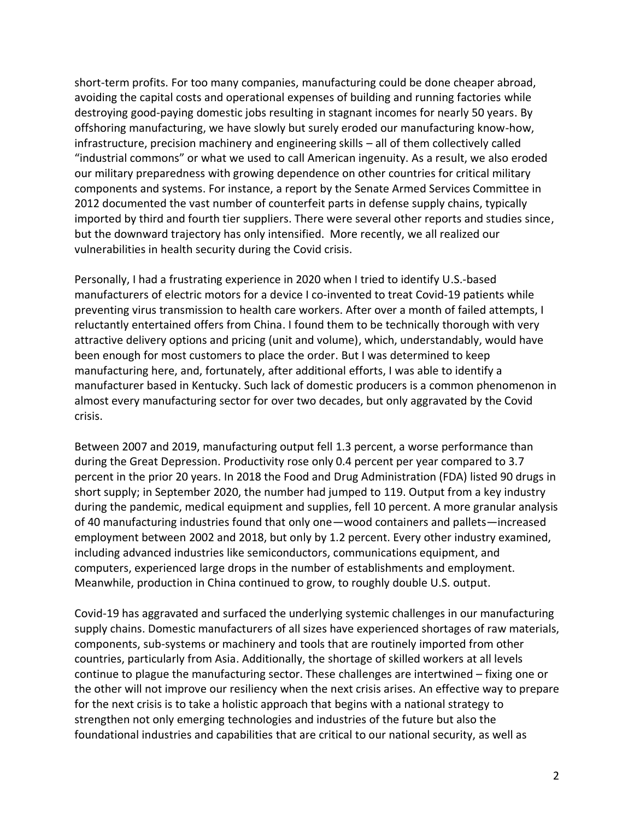short-term profits. For too many companies, manufacturing could be done cheaper abroad, avoiding the capital costs and operational expenses of building and running factories while destroying good-paying domestic jobs resulting in stagnant incomes for nearly 50 years. By offshoring manufacturing, we have slowly but surely eroded our manufacturing know-how, infrastructure, precision machinery and engineering skills – all of them collectively called "industrial commons" or what we used to call American ingenuity. As a result, we also eroded our military preparedness with growing dependence on other countries for critical military components and systems. For instance, a report by the Senate Armed Services Committee in 2012 documented the vast number of counterfeit parts in defense supply chains, typically imported by third and fourth tier suppliers. There were several other reports and studies since, but the downward trajectory has only intensified. More recently, we all realized our vulnerabilities in health security during the Covid crisis.

Personally, I had a frustrating experience in 2020 when I tried to identify U.S.-based manufacturers of electric motors for a device I co-invented to treat Covid-19 patients while preventing virus transmission to health care workers. After over a month of failed attempts, I reluctantly entertained offers from China. I found them to be technically thorough with very attractive delivery options and pricing (unit and volume), which, understandably, would have been enough for most customers to place the order. But I was determined to keep manufacturing here, and, fortunately, after additional efforts, I was able to identify a manufacturer based in Kentucky. Such lack of domestic producers is a common phenomenon in almost every manufacturing sector for over two decades, but only aggravated by the Covid crisis.

Between 2007 and 2019, manufacturing output fell 1.3 percent, a worse performance than during the Great Depression. Productivity rose only 0.4 percent per year compared to 3.7 percent in the prior 20 years. In 2018 the Food and Drug Administration (FDA) listed 90 drugs in short supply; in September 2020, the number had jumped to 119. Output from a key industry during the pandemic, medical equipment and supplies, fell 10 percent. A more granular analysis of 40 manufacturing industries found that only one—wood containers and pallets—increased employment between 2002 and 2018, but only by 1.2 percent. Every other industry examined, including advanced industries like semiconductors, communications equipment, and computers, experienced large drops in the number of establishments and employment. Meanwhile, production in China continued to grow, to roughly double U.S. output.

Covid-19 has aggravated and surfaced the underlying systemic challenges in our manufacturing supply chains. Domestic manufacturers of all sizes have experienced shortages of raw materials, components, sub-systems or machinery and tools that are routinely imported from other countries, particularly from Asia. Additionally, the shortage of skilled workers at all levels continue to plague the manufacturing sector. These challenges are intertwined – fixing one or the other will not improve our resiliency when the next crisis arises. An effective way to prepare for the next crisis is to take a holistic approach that begins with a national strategy to strengthen not only emerging technologies and industries of the future but also the foundational industries and capabilities that are critical to our national security, as well as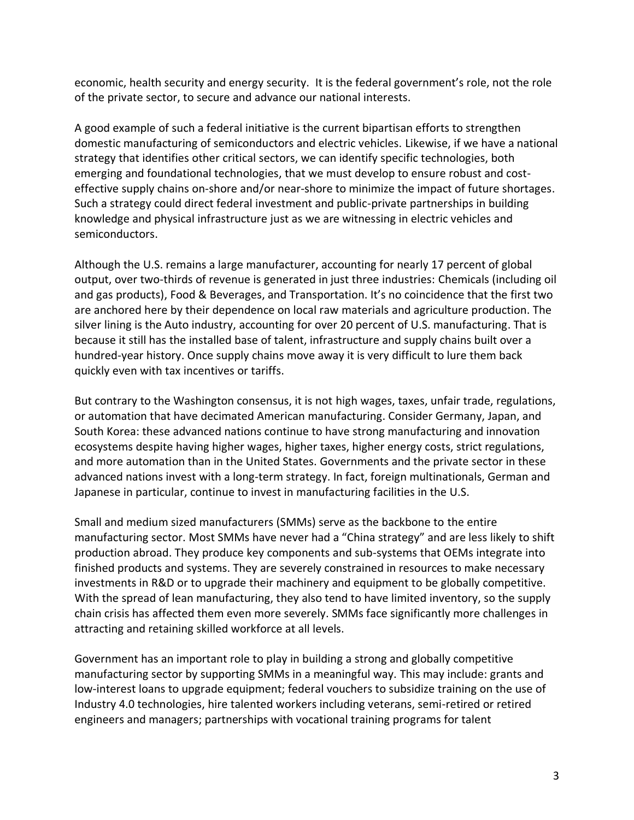economic, health security and energy security. It is the federal government's role, not the role of the private sector, to secure and advance our national interests.

A good example of such a federal initiative is the current bipartisan efforts to strengthen domestic manufacturing of semiconductors and electric vehicles. Likewise, if we have a national strategy that identifies other critical sectors, we can identify specific technologies, both emerging and foundational technologies, that we must develop to ensure robust and costeffective supply chains on-shore and/or near-shore to minimize the impact of future shortages. Such a strategy could direct federal investment and public-private partnerships in building knowledge and physical infrastructure just as we are witnessing in electric vehicles and semiconductors.

Although the U.S. remains a large manufacturer, accounting for nearly 17 percent of global output, over two-thirds of revenue is generated in just three industries: Chemicals (including oil and gas products), Food & Beverages, and Transportation. It's no coincidence that the first two are anchored here by their dependence on local raw materials and agriculture production. The silver lining is the Auto industry, accounting for over 20 percent of U.S. manufacturing. That is because it still has the installed base of talent, infrastructure and supply chains built over a hundred-year history. Once supply chains move away it is very difficult to lure them back quickly even with tax incentives or tariffs.

But contrary to the Washington consensus, it is not high wages, taxes, unfair trade, regulations, or automation that have decimated American manufacturing. Consider Germany, Japan, and South Korea: these advanced nations continue to have strong manufacturing and innovation ecosystems despite having higher wages, higher taxes, higher energy costs, strict regulations, and more automation than in the United States. Governments and the private sector in these advanced nations invest with a long-term strategy. In fact, foreign multinationals, German and Japanese in particular, continue to invest in manufacturing facilities in the U.S.

Small and medium sized manufacturers (SMMs) serve as the backbone to the entire manufacturing sector. Most SMMs have never had a "China strategy" and are less likely to shift production abroad. They produce key components and sub-systems that OEMs integrate into finished products and systems. They are severely constrained in resources to make necessary investments in R&D or to upgrade their machinery and equipment to be globally competitive. With the spread of lean manufacturing, they also tend to have limited inventory, so the supply chain crisis has affected them even more severely. SMMs face significantly more challenges in attracting and retaining skilled workforce at all levels.

Government has an important role to play in building a strong and globally competitive manufacturing sector by supporting SMMs in a meaningful way. This may include: grants and low-interest loans to upgrade equipment; federal vouchers to subsidize training on the use of Industry 4.0 technologies, hire talented workers including veterans, semi-retired or retired engineers and managers; partnerships with vocational training programs for talent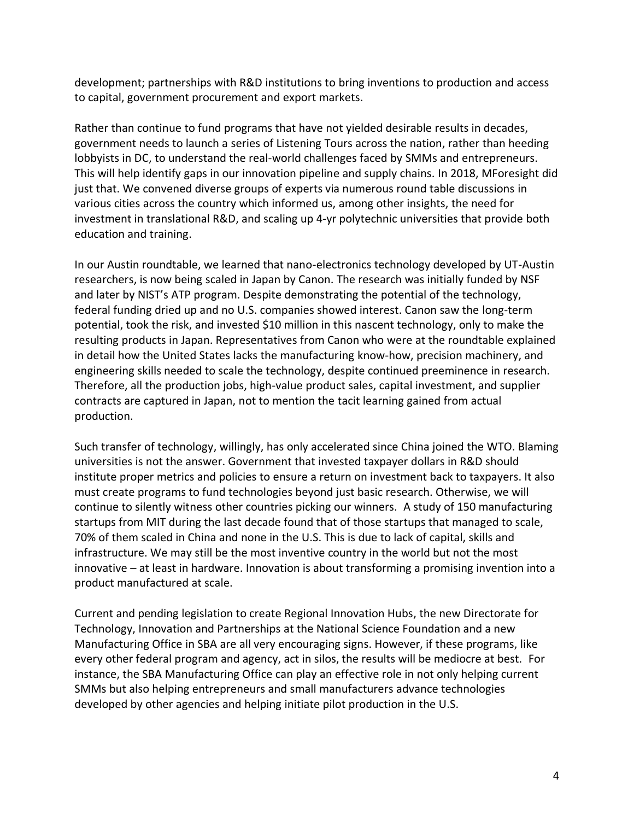development; partnerships with R&D institutions to bring inventions to production and access to capital, government procurement and export markets.

Rather than continue to fund programs that have not yielded desirable results in decades, government needs to launch a series of Listening Tours across the nation, rather than heeding lobbyists in DC, to understand the real-world challenges faced by SMMs and entrepreneurs. This will help identify gaps in our innovation pipeline and supply chains. In 2018, MForesight did just that. We convened diverse groups of experts via numerous round table discussions in various cities across the country which informed us, among other insights, the need for investment in translational R&D, and scaling up 4-yr polytechnic universities that provide both education and training.

In our Austin roundtable, we learned that nano-electronics technology developed by UT-Austin researchers, is now being scaled in Japan by Canon. The research was initially funded by NSF and later by NIST's ATP program. Despite demonstrating the potential of the technology, federal funding dried up and no U.S. companies showed interest. Canon saw the long-term potential, took the risk, and invested \$10 million in this nascent technology, only to make the resulting products in Japan. Representatives from Canon who were at the roundtable explained in detail how the United States lacks the manufacturing know-how, precision machinery, and engineering skills needed to scale the technology, despite continued preeminence in research. Therefore, all the production jobs, high-value product sales, capital investment, and supplier contracts are captured in Japan, not to mention the tacit learning gained from actual production.

Such transfer of technology, willingly, has only accelerated since China joined the WTO. Blaming universities is not the answer. Government that invested taxpayer dollars in R&D should institute proper metrics and policies to ensure a return on investment back to taxpayers. It also must create programs to fund technologies beyond just basic research. Otherwise, we will continue to silently witness other countries picking our winners. A study of 150 manufacturing startups from MIT during the last decade found that of those startups that managed to scale, 70% of them scaled in China and none in the U.S. This is due to lack of capital, skills and infrastructure. We may still be the most inventive country in the world but not the most innovative – at least in hardware. Innovation is about transforming a promising invention into a product manufactured at scale.

Current and pending legislation to create Regional Innovation Hubs, the new Directorate for Technology, Innovation and Partnerships at the National Science Foundation and a new Manufacturing Office in SBA are all very encouraging signs. However, if these programs, like every other federal program and agency, act in silos, the results will be mediocre at best. For instance, the SBA Manufacturing Office can play an effective role in not only helping current SMMs but also helping entrepreneurs and small manufacturers advance technologies developed by other agencies and helping initiate pilot production in the U.S.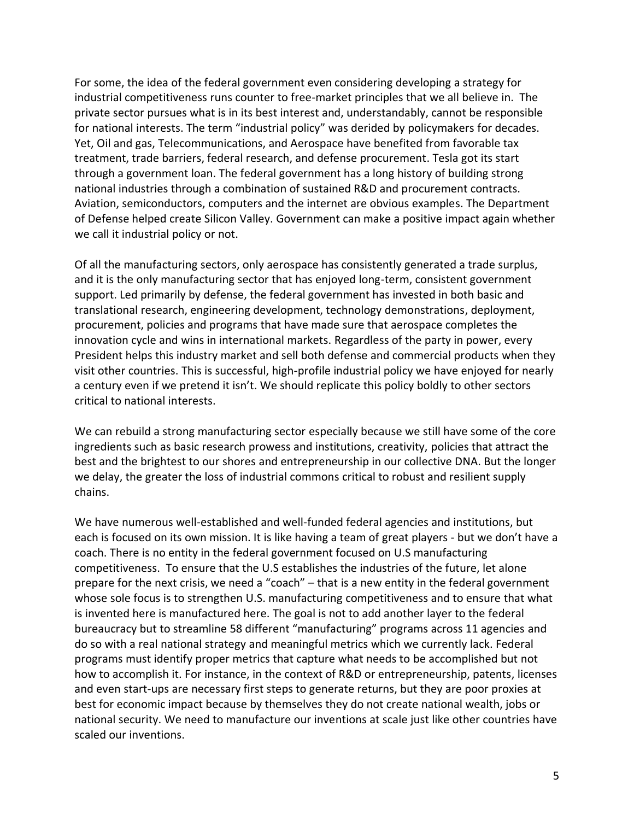For some, the idea of the federal government even considering developing a strategy for industrial competitiveness runs counter to free-market principles that we all believe in. The private sector pursues what is in its best interest and, understandably, cannot be responsible for national interests. The term "industrial policy" was derided by policymakers for decades. Yet, Oil and gas, Telecommunications, and Aerospace have benefited from favorable tax treatment, trade barriers, federal research, and defense procurement. Tesla got its start through a government loan. The federal government has a long history of building strong national industries through a combination of sustained R&D and procurement contracts. Aviation, semiconductors, computers and the internet are obvious examples. The Department of Defense helped create Silicon Valley. Government can make a positive impact again whether we call it industrial policy or not.

Of all the manufacturing sectors, only aerospace has consistently generated a trade surplus, and it is the only manufacturing sector that has enjoyed long-term, consistent government support. Led primarily by defense, the federal government has invested in both basic and translational research, engineering development, technology demonstrations, deployment, procurement, policies and programs that have made sure that aerospace completes the innovation cycle and wins in international markets. Regardless of the party in power, every President helps this industry market and sell both defense and commercial products when they visit other countries. This is successful, high-profile industrial policy we have enjoyed for nearly a century even if we pretend it isn't. We should replicate this policy boldly to other sectors critical to national interests.

We can rebuild a strong manufacturing sector especially because we still have some of the core ingredients such as basic research prowess and institutions, creativity, policies that attract the best and the brightest to our shores and entrepreneurship in our collective DNA. But the longer we delay, the greater the loss of industrial commons critical to robust and resilient supply chains.

We have numerous well-established and well-funded federal agencies and institutions, but each is focused on its own mission. It is like having a team of great players - but we don't have a coach. There is no entity in the federal government focused on U.S manufacturing competitiveness. To ensure that the U.S establishes the industries of the future, let alone prepare for the next crisis, we need a "coach" – that is a new entity in the federal government whose sole focus is to strengthen U.S. manufacturing competitiveness and to ensure that what is invented here is manufactured here. The goal is not to add another layer to the federal bureaucracy but to streamline 58 different "manufacturing" programs across 11 agencies and do so with a real national strategy and meaningful metrics which we currently lack. Federal programs must identify proper metrics that capture what needs to be accomplished but not how to accomplish it. For instance, in the context of R&D or entrepreneurship, patents, licenses and even start-ups are necessary first steps to generate returns, but they are poor proxies at best for economic impact because by themselves they do not create national wealth, jobs or national security. We need to manufacture our inventions at scale just like other countries have scaled our inventions.